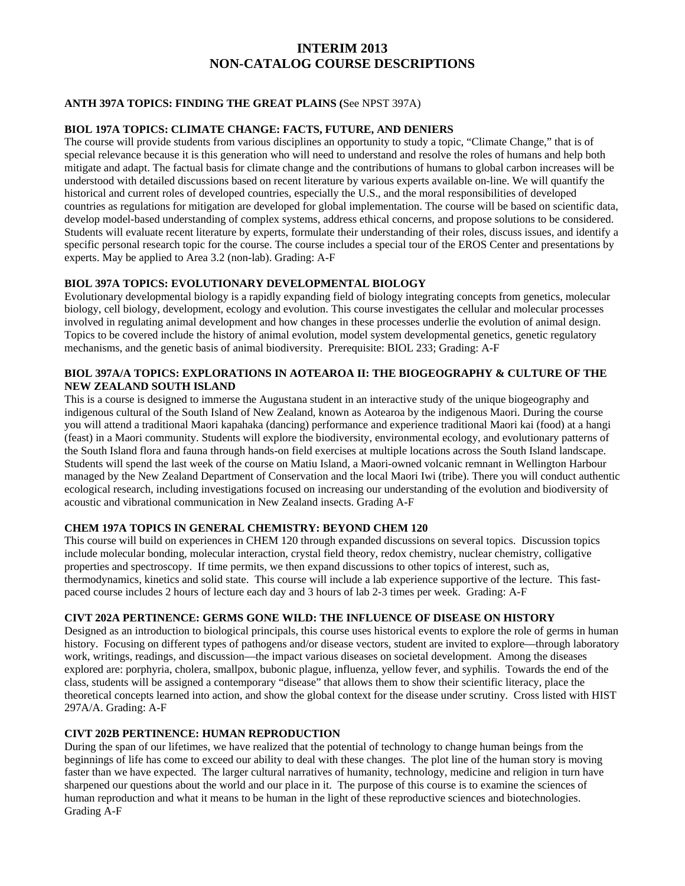# **INTERIM 2013 NON-CATALOG COURSE DESCRIPTIONS**

## **ANTH 397A TOPICS: FINDING THE GREAT PLAINS (**See NPST 397A)

## **BIOL 197A TOPICS: CLIMATE CHANGE: FACTS, FUTURE, AND DENIERS**

The course will provide students from various disciplines an opportunity to study a topic, "Climate Change," that is of special relevance because it is this generation who will need to understand and resolve the roles of humans and help both mitigate and adapt. The factual basis for climate change and the contributions of humans to global carbon increases will be understood with detailed discussions based on recent literature by various experts available on-line. We will quantify the historical and current roles of developed countries, especially the U.S., and the moral responsibilities of developed countries as regulations for mitigation are developed for global implementation. The course will be based on scientific data, develop model-based understanding of complex systems, address ethical concerns, and propose solutions to be considered. Students will evaluate recent literature by experts, formulate their understanding of their roles, discuss issues, and identify a specific personal research topic for the course. The course includes a special tour of the EROS Center and presentations by experts. May be applied to Area 3.2 (non-lab). Grading: A-F

## **BIOL 397A TOPICS: EVOLUTIONARY DEVELOPMENTAL BIOLOGY**

Evolutionary developmental biology is a rapidly expanding field of biology integrating concepts from genetics, molecular biology, cell biology, development, ecology and evolution. This course investigates the cellular and molecular processes involved in regulating animal development and how changes in these processes underlie the evolution of animal design. Topics to be covered include the history of animal evolution, model system developmental genetics, genetic regulatory mechanisms, and the genetic basis of animal biodiversity. Prerequisite: BIOL 233; Grading: A-F

#### **BIOL 397A/A TOPICS: EXPLORATIONS IN AOTEAROA II: THE BIOGEOGRAPHY & CULTURE OF THE NEW ZEALAND SOUTH ISLAND**

This is a course is designed to immerse the Augustana student in an interactive study of the unique biogeography and indigenous cultural of the South Island of New Zealand, known as Aotearoa by the indigenous Maori. During the course you will attend a traditional Maori kapahaka (dancing) performance and experience traditional Maori kai (food) at a hangi (feast) in a Maori community. Students will explore the biodiversity, environmental ecology, and evolutionary patterns of the South Island flora and fauna through hands-on field exercises at multiple locations across the South Island landscape. Students will spend the last week of the course on Matiu Island, a Maori-owned volcanic remnant in Wellington Harbour managed by the New Zealand Department of Conservation and the local Maori Iwi (tribe). There you will conduct authentic ecological research, including investigations focused on increasing our understanding of the evolution and biodiversity of acoustic and vibrational communication in New Zealand insects. Grading A-F

## **CHEM 197A TOPICS IN GENERAL CHEMISTRY: BEYOND CHEM 120**

This course will build on experiences in CHEM 120 through expanded discussions on several topics. Discussion topics include molecular bonding, molecular interaction, crystal field theory, redox chemistry, nuclear chemistry, colligative properties and spectroscopy. If time permits, we then expand discussions to other topics of interest, such as, thermodynamics, kinetics and solid state. This course will include a lab experience supportive of the lecture. This fastpaced course includes 2 hours of lecture each day and 3 hours of lab 2-3 times per week. Grading: A-F

#### **CIVT 202A PERTINENCE: GERMS GONE WILD: THE INFLUENCE OF DISEASE ON HISTORY**

Designed as an introduction to biological principals, this course uses historical events to explore the role of germs in human history. Focusing on different types of pathogens and/or disease vectors, student are invited to explore—through laboratory work, writings, readings, and discussion—the impact various diseases on societal development. Among the diseases explored are: porphyria, cholera, smallpox, bubonic plague, influenza, yellow fever, and syphilis. Towards the end of the class, students will be assigned a contemporary "disease" that allows them to show their scientific literacy, place the theoretical concepts learned into action, and show the global context for the disease under scrutiny. Cross listed with HIST 297A/A. Grading: A-F

## **CIVT 202B PERTINENCE: HUMAN REPRODUCTION**

During the span of our lifetimes, we have realized that the potential of technology to change human beings from the beginnings of life has come to exceed our ability to deal with these changes. The plot line of the human story is moving faster than we have expected. The larger cultural narratives of humanity, technology, medicine and religion in turn have sharpened our questions about the world and our place in it. The purpose of this course is to examine the sciences of human reproduction and what it means to be human in the light of these reproductive sciences and biotechnologies. Grading A-F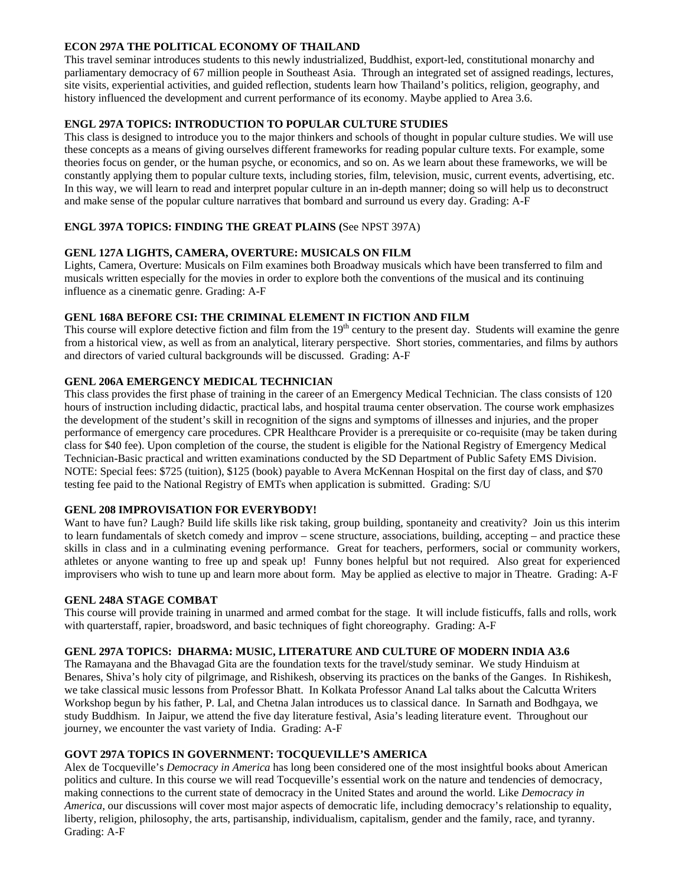# **ECON 297A THE POLITICAL ECONOMY OF THAILAND**

This travel seminar introduces students to this newly industrialized, Buddhist, export-led, constitutional monarchy and parliamentary democracy of 67 million people in Southeast Asia. Through an integrated set of assigned readings, lectures, site visits, experiential activities, and guided reflection, students learn how Thailand's politics, religion, geography, and history influenced the development and current performance of its economy. Maybe applied to Area 3.6.

# **ENGL 297A TOPICS: INTRODUCTION TO POPULAR CULTURE STUDIES**

This class is designed to introduce you to the major thinkers and schools of thought in popular culture studies. We will use these concepts as a means of giving ourselves different frameworks for reading popular culture texts. For example, some theories focus on gender, or the human psyche, or economics, and so on. As we learn about these frameworks, we will be constantly applying them to popular culture texts, including stories, film, television, music, current events, advertising, etc. In this way, we will learn to read and interpret popular culture in an in-depth manner; doing so will help us to deconstruct and make sense of the popular culture narratives that bombard and surround us every day. Grading: A-F

# **ENGL 397A TOPICS: FINDING THE GREAT PLAINS (**See NPST 397A)

# **GENL 127A LIGHTS, CAMERA, OVERTURE: MUSICALS ON FILM**

Lights, Camera, Overture: Musicals on Film examines both Broadway musicals which have been transferred to film and musicals written especially for the movies in order to explore both the conventions of the musical and its continuing influence as a cinematic genre. Grading: A-F

# **GENL 168A BEFORE CSI: THE CRIMINAL ELEMENT IN FICTION AND FILM**

This course will explore detective fiction and film from the  $19<sup>th</sup>$  century to the present day. Students will examine the genre from a historical view, as well as from an analytical, literary perspective. Short stories, commentaries, and films by authors and directors of varied cultural backgrounds will be discussed. Grading: A-F

# **GENL 206A EMERGENCY MEDICAL TECHNICIAN**

This class provides the first phase of training in the career of an Emergency Medical Technician. The class consists of 120 hours of instruction including didactic, practical labs, and hospital trauma center observation. The course work emphasizes the development of the student's skill in recognition of the signs and symptoms of illnesses and injuries, and the proper performance of emergency care procedures. CPR Healthcare Provider is a prerequisite or co-requisite (may be taken during class for \$40 fee). Upon completion of the course, the student is eligible for the National Registry of Emergency Medical Technician-Basic practical and written examinations conducted by the SD Department of Public Safety EMS Division. NOTE: Special fees: \$725 (tuition), \$125 (book) payable to Avera McKennan Hospital on the first day of class, and \$70 testing fee paid to the National Registry of EMTs when application is submitted. Grading: S/U

## **GENL 208 IMPROVISATION FOR EVERYBODY!**

Want to have fun? Laugh? Build life skills like risk taking, group building, spontaneity and creativity? Join us this interim to learn fundamentals of sketch comedy and improv – scene structure, associations, building, accepting – and practice these skills in class and in a culminating evening performance. Great for teachers, performers, social or community workers, athletes or anyone wanting to free up and speak up! Funny bones helpful but not required. Also great for experienced improvisers who wish to tune up and learn more about form. May be applied as elective to major in Theatre. Grading: A-F

## **GENL 248A STAGE COMBAT**

This course will provide training in unarmed and armed combat for the stage. It will include fisticuffs, falls and rolls, work with quarterstaff, rapier, broadsword, and basic techniques of fight choreography. Grading: A-F

## **GENL 297A TOPICS: DHARMA: MUSIC, LITERATURE AND CULTURE OF MODERN INDIA A3.6**

The Ramayana and the Bhavagad Gita are the foundation texts for the travel/study seminar. We study Hinduism at Benares, Shiva's holy city of pilgrimage, and Rishikesh, observing its practices on the banks of the Ganges. In Rishikesh, we take classical music lessons from Professor Bhatt. In Kolkata Professor Anand Lal talks about the Calcutta Writers Workshop begun by his father, P. Lal, and Chetna Jalan introduces us to classical dance. In Sarnath and Bodhgaya, we study Buddhism. In Jaipur, we attend the five day literature festival, Asia's leading literature event. Throughout our journey, we encounter the vast variety of India. Grading: A-F

## **GOVT 297A TOPICS IN GOVERNMENT: TOCQUEVILLE'S AMERICA**

Alex de Tocqueville's *Democracy in America* has long been considered one of the most insightful books about American politics and culture. In this course we will read Tocqueville's essential work on the nature and tendencies of democracy, making connections to the current state of democracy in the United States and around the world. Like *Democracy in America*, our discussions will cover most major aspects of democratic life, including democracy's relationship to equality, liberty, religion, philosophy, the arts, partisanship, individualism, capitalism, gender and the family, race, and tyranny. Grading: A-F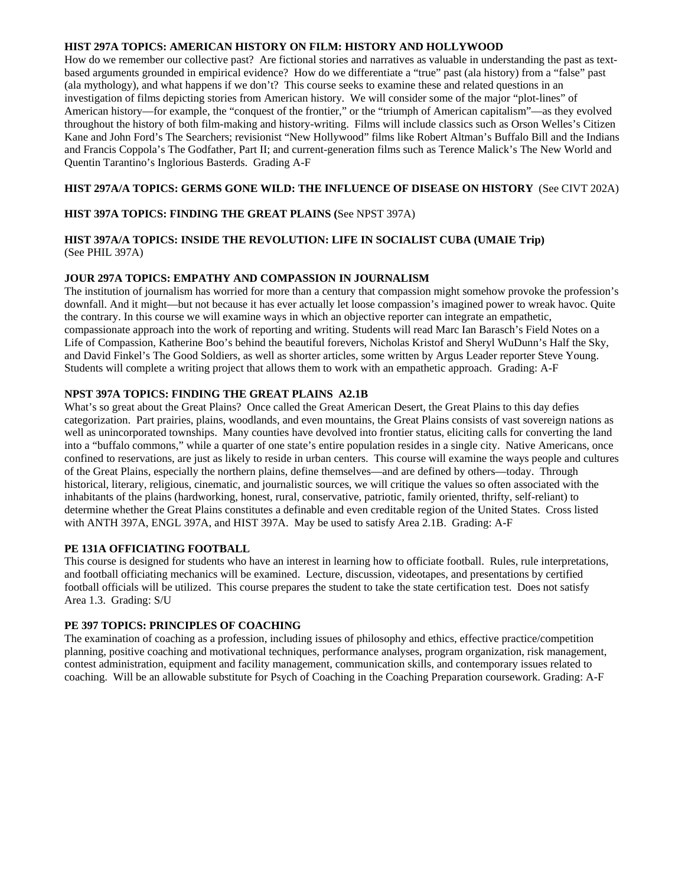#### **HIST 297A TOPICS: AMERICAN HISTORY ON FILM: HISTORY AND HOLLYWOOD**

How do we remember our collective past? Are fictional stories and narratives as valuable in understanding the past as textbased arguments grounded in empirical evidence? How do we differentiate a "true" past (ala history) from a "false" past (ala mythology), and what happens if we don't? This course seeks to examine these and related questions in an investigation of films depicting stories from American history. We will consider some of the major "plot-lines" of American history—for example, the "conquest of the frontier," or the "triumph of American capitalism"—as they evolved throughout the history of both film-making and history-writing. Films will include classics such as Orson Welles's Citizen Kane and John Ford's The Searchers; revisionist "New Hollywood" films like Robert Altman's Buffalo Bill and the Indians and Francis Coppola's The Godfather, Part II; and current-generation films such as Terence Malick's The New World and Quentin Tarantino's Inglorious Basterds. Grading A-F

## **HIST 297A/A TOPICS: GERMS GONE WILD: THE INFLUENCE OF DISEASE ON HISTORY** (See CIVT 202A)

# **HIST 397A TOPICS: FINDING THE GREAT PLAINS (**See NPST 397A)

#### **HIST 397A/A TOPICS: INSIDE THE REVOLUTION: LIFE IN SOCIALIST CUBA (UMAIE Trip)**  (See PHIL 397A)

## **JOUR 297A TOPICS: EMPATHY AND COMPASSION IN JOURNALISM**

The institution of journalism has worried for more than a century that compassion might somehow provoke the profession's downfall. And it might—but not because it has ever actually let loose compassion's imagined power to wreak havoc. Quite the contrary. In this course we will examine ways in which an objective reporter can integrate an empathetic, compassionate approach into the work of reporting and writing. Students will read Marc Ian Barasch's Field Notes on a Life of Compassion, Katherine Boo's behind the beautiful forevers, Nicholas Kristof and Sheryl WuDunn's Half the Sky, and David Finkel's The Good Soldiers, as well as shorter articles, some written by Argus Leader reporter Steve Young. Students will complete a writing project that allows them to work with an empathetic approach. Grading: A-F

## **NPST 397A TOPICS: FINDING THE GREAT PLAINS A2.1B**

What's so great about the Great Plains? Once called the Great American Desert, the Great Plains to this day defies categorization. Part prairies, plains, woodlands, and even mountains, the Great Plains consists of vast sovereign nations as well as unincorporated townships. Many counties have devolved into frontier status, eliciting calls for converting the land into a "buffalo commons," while a quarter of one state's entire population resides in a single city. Native Americans, once confined to reservations, are just as likely to reside in urban centers. This course will examine the ways people and cultures of the Great Plains, especially the northern plains, define themselves—and are defined by others—today. Through historical, literary, religious, cinematic, and journalistic sources, we will critique the values so often associated with the inhabitants of the plains (hardworking, honest, rural, conservative, patriotic, family oriented, thrifty, self-reliant) to determine whether the Great Plains constitutes a definable and even creditable region of the United States. Cross listed with ANTH 397A, ENGL 397A, and HIST 397A. May be used to satisfy Area 2.1B. Grading: A-F

#### **PE 131A OFFICIATING FOOTBALL**

This course is designed for students who have an interest in learning how to officiate football. Rules, rule interpretations, and football officiating mechanics will be examined. Lecture, discussion, videotapes, and presentations by certified football officials will be utilized. This course prepares the student to take the state certification test. Does not satisfy Area 1.3. Grading: S/U

## **PE 397 TOPICS: PRINCIPLES OF COACHING**

The examination of coaching as a profession, including issues of philosophy and ethics, effective practice/competition planning, positive coaching and motivational techniques, performance analyses, program organization, risk management, contest administration, equipment and facility management, communication skills, and contemporary issues related to coaching. Will be an allowable substitute for Psych of Coaching in the Coaching Preparation coursework. Grading: A-F